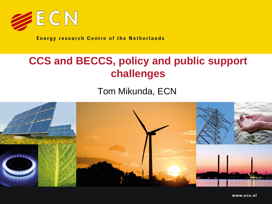

**Energy research Centre of the Netherlands** 

## **CCS and BECCS, policy and public support challenges**

Tom Mikunda, ECN

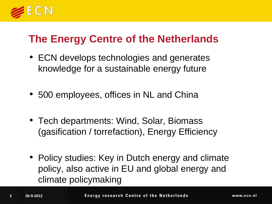

### **The Energy Centre of the Netherlands**

- ECN develops technologies and generates knowledge for a sustainable energy future
- 500 employees, offices in NL and China
- Tech departments: Wind, Solar, Biomass (gasification / torrefaction), Energy Efficiency
- Policy studies: Key in Dutch energy and climate policy, also active in EU and global energy and climate policymaking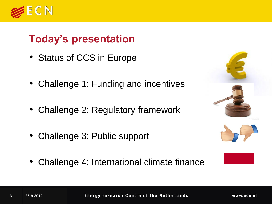

## **Today's presentation**

- Status of CCS in Europe
- Challenge 1: Funding and incentives
- Challenge 2: Regulatory framework
- Challenge 3: Public support
- Challenge 4: International climate finance



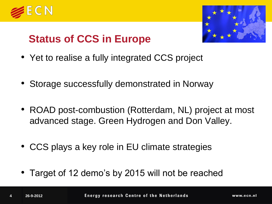



## **Status of CCS in Europe**

- Yet to realise a fully integrated CCS project
- Storage successfully demonstrated in Norway
- ROAD post-combustion (Rotterdam, NL) project at most advanced stage. Green Hydrogen and Don Valley.
- CCS plays a key role in EU climate strategies
- Target of 12 demo's by 2015 will not be reached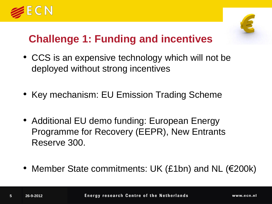



## **Challenge 1: Funding and incentives**

- CCS is an expensive technology which will not be deployed without strong incentives
- Key mechanism: EU Emission Trading Scheme
- Additional EU demo funding: European Energy Programme for Recovery (EEPR), New Entrants Reserve 300.
- Member State commitments: UK (£1bn) and NL (€200k)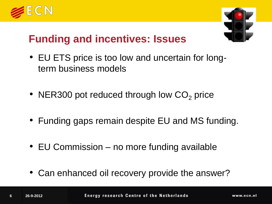



## **Funding and incentives: Issues**

- EU ETS price is too low and uncertain for longterm business models
- NER300 pot reduced through low  $CO<sub>2</sub>$  price
- Funding gaps remain despite EU and MS funding.
- EU Commission no more funding available
- Can enhanced oil recovery provide the answer?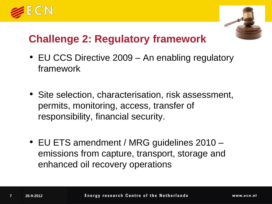



## **Challenge 2: Regulatory framework**

- EU CCS Directive 2009 An enabling regulatory framework
- Site selection, characterisation, risk assessment, permits, monitoring, access, transfer of responsibility, financial security.
- EU ETS amendment / MRG guidelines 2010 emissions from capture, transport, storage and enhanced oil recovery operations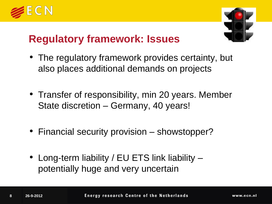



#### **Regulatory framework: Issues**

- The regulatory framework provides certainty, but also places additional demands on projects
- Transfer of responsibility, min 20 years. Member State discretion – Germany, 40 years!
- Financial security provision showstopper?
- Long-term liability / EU ETS link liability potentially huge and very uncertain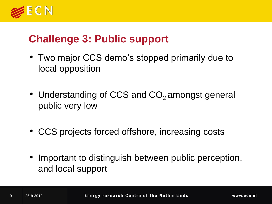

#### **Challenge 3: Public support**

- Two major CCS demo's stopped primarily due to local opposition
- Understanding of CCS and CO<sub>2</sub> amongst general public very low
- CCS projects forced offshore, increasing costs
- Important to distinguish between public perception, and local support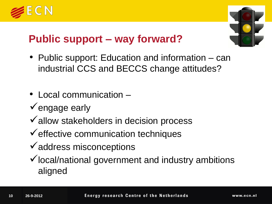



## **Public support – way forward?**

- Public support: Education and information can industrial CCS and BECCS change attitudes?
- Local communication –
- $\checkmark$  engage early
- $\checkmark$  allow stakeholders in decision process
- $\checkmark$  effective communication techniques
- $\checkmark$  address misconceptions
- $\checkmark$  local/national government and industry ambitions aligned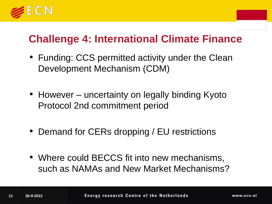

#### **Challenge 4: International Climate Finance**

- Funding: CCS permitted activity under the Clean Development Mechanism (CDM)
- However uncertainty on legally binding Kyoto Protocol 2nd commitment period
- Demand for CERs dropping / EU restrictions
- Where could BECCS fit into new mechanisms, such as NAMAs and New Market Mechanisms?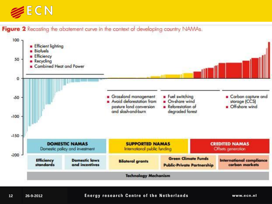

Figure 2 Recasting the abatement curve in the context of developing country NAMAs.



#### **Energy research Centre of the Netherlands**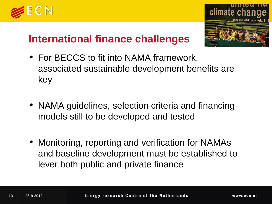



## **International finance challenges**

- For BECCS to fit into NAMA framework, associated sustainable development benefits are key
- NAMA guidelines, selection criteria and financing models still to be developed and tested
- Monitoring, reporting and verification for NAMAs and baseline development must be established to lever both public and private finance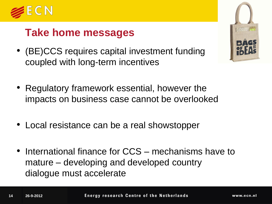

#### **Take home messages**

- (BE)CCS requires capital investment funding coupled with long-term incentives
- Regulatory framework essential, however the impacts on business case cannot be overlooked
- Local resistance can be a real showstopper
- International finance for CCS mechanisms have to mature – developing and developed country dialogue must accelerate